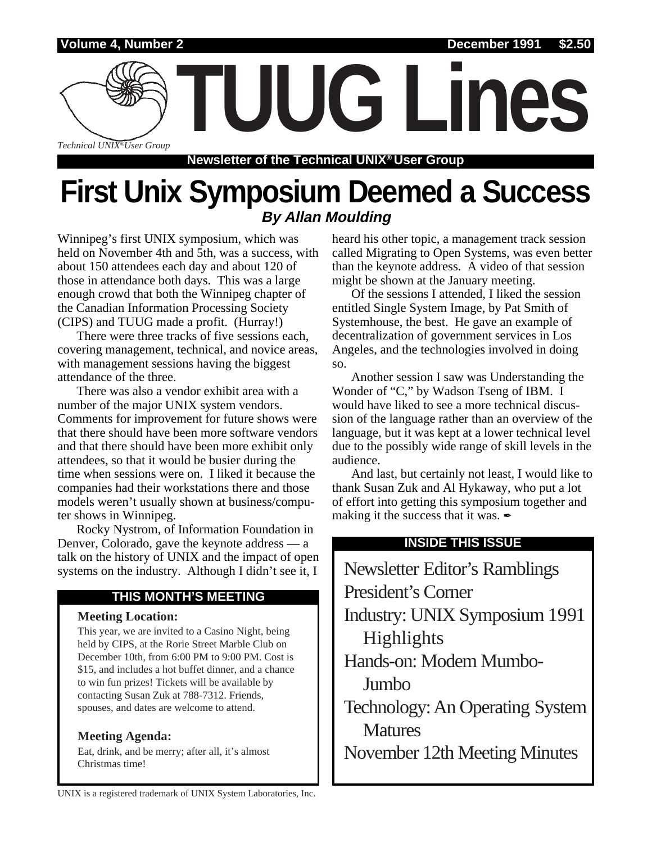

**Newsletter of the Technical UNIX® User Group**

## **First Unix Symposium Deemed a Success By Allan Moulding**

Winnipeg's first UNIX symposium, which was held on November 4th and 5th, was a success, with about 150 attendees each day and about 120 of those in attendance both days. This was a large enough crowd that both the Winnipeg chapter of the Canadian Information Processing Society (CIPS) and TUUG made a profit. (Hurray!)

There were three tracks of five sessions each, covering management, technical, and novice areas, with management sessions having the biggest attendance of the three.

There was also a vendor exhibit area with a number of the major UNIX system vendors. Comments for improvement for future shows were that there should have been more software vendors and that there should have been more exhibit only attendees, so that it would be busier during the time when sessions were on. I liked it because the companies had their workstations there and those models weren't usually shown at business/computer shows in Winnipeg.

Rocky Nystrom, of Information Foundation in Denver, Colorado, gave the keynote address — a talk on the history of UNIX and the impact of open systems on the industry. Although I didn't see it, I

### **THIS MONTH'S MEETING**

#### **Meeting Location:**

This year, we are invited to a Casino Night, being held by CIPS, at the Rorie Street Marble Club on December 10th, from 6:00 PM to 9:00 PM. Cost is \$15, and includes a hot buffet dinner, and a chance to win fun prizes! Tickets will be available by contacting Susan Zuk at 788-7312. Friends, spouses, and dates are welcome to attend.

### **Meeting Agenda:**

Eat, drink, and be merry; after all, it's almost Christmas time!

heard his other topic, a management track session called Migrating to Open Systems, was even better than the keynote address. A video of that session might be shown at the January meeting.

Of the sessions I attended, I liked the session entitled Single System Image, by Pat Smith of Systemhouse, the best. He gave an example of decentralization of government services in Los Angeles, and the technologies involved in doing so.

Another session I saw was Understanding the Wonder of "C," by Wadson Tseng of IBM. I would have liked to see a more technical discussion of the language rather than an overview of the language, but it was kept at a lower technical level due to the possibly wide range of skill levels in the audience.

And last, but certainly not least, I would like to thank Susan Zuk and Al Hykaway, who put a lot of effort into getting this symposium together and making it the success that it was.  $\angle$ 

### **INSIDE THIS ISSUE**

Newsletter Editor's Ramblings President's Corner Industry: UNIX Symposium 1991 Highlights Hands-on: Modem Mumbo-Jumbo Technology: An Operating System **Matures** November 12th Meeting Minutes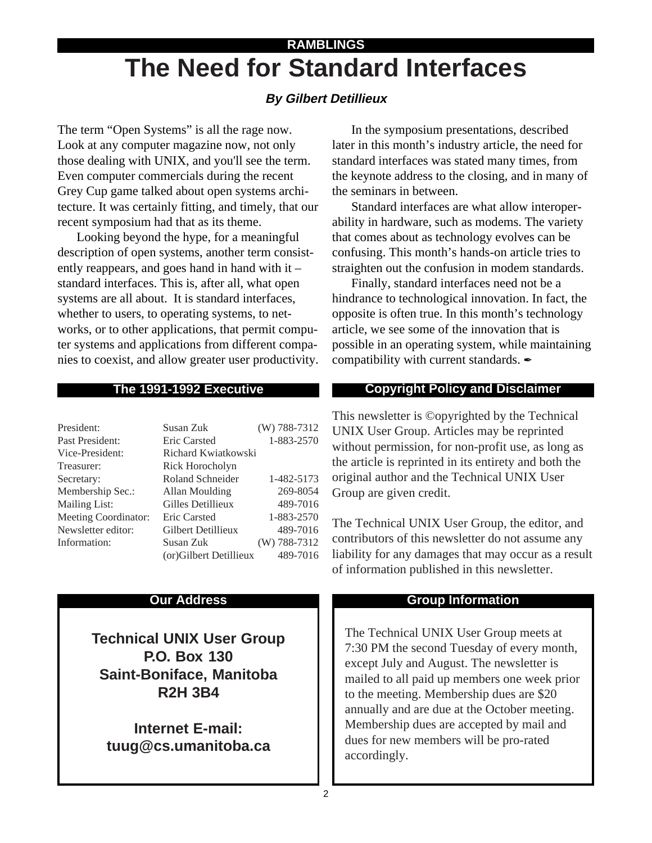## **The Need for Standard Interfaces RAMBLINGS**

## **By Gilbert Detillieux**

The term "Open Systems" is all the rage now. Look at any computer magazine now, not only those dealing with UNIX, and you'll see the term. Even computer commercials during the recent Grey Cup game talked about open systems architecture. It was certainly fitting, and timely, that our recent symposium had that as its theme.

Looking beyond the hype, for a meaningful description of open systems, another term consistently reappears, and goes hand in hand with it – standard interfaces. This is, after all, what open systems are all about. It is standard interfaces, whether to users, to operating systems, to networks, or to other applications, that permit computer systems and applications from different companies to coexist, and allow greater user productivity.

### **The 1991-1992 Executive**

| President:           | Susan Zuk              | (W) 788-7312   |  |  |  |
|----------------------|------------------------|----------------|--|--|--|
| Past President:      | <b>Eric Carsted</b>    | 1-883-2570     |  |  |  |
| Vice-President:      | Richard Kwiatkowski    |                |  |  |  |
| Treasurer:           | Rick Horocholyn        |                |  |  |  |
| Secretary:           | Roland Schneider       | 1-482-5173     |  |  |  |
| Membership Sec.:     | Allan Moulding         | 269-8054       |  |  |  |
| <b>Mailing List:</b> | Gilles Detillieux      | 489-7016       |  |  |  |
| Meeting Coordinator: | <b>Eric Carsted</b>    | 1-883-2570     |  |  |  |
| Newsletter editor:   | Gilbert Detillieux     | 489-7016       |  |  |  |
| Information:         | Susan Zuk              | $(W)$ 788-7312 |  |  |  |
|                      | (or)Gilbert Detillieux | 489-7016       |  |  |  |

#### **Our Address**

**Technical UNIX User Group P.O. Box 130 Saint-Boniface, Manitoba R2H 3B4**

**Internet E-mail: tuug@cs.umanitoba.ca**

In the symposium presentations, described later in this month's industry article, the need for standard interfaces was stated many times, from the keynote address to the closing, and in many of the seminars in between.

Standard interfaces are what allow interoperability in hardware, such as modems. The variety that comes about as technology evolves can be confusing. This month's hands-on article tries to straighten out the confusion in modem standards.

Finally, standard interfaces need not be a hindrance to technological innovation. In fact, the opposite is often true. In this month's technology article, we see some of the innovation that is possible in an operating system, while maintaining compatibility with current standards.

### **Copyright Policy and Disclaimer**

This newsletter is ©opyrighted by the Technical UNIX User Group. Articles may be reprinted without permission, for non-profit use, as long as the article is reprinted in its entirety and both the original author and the Technical UNIX User Group are given credit.

The Technical UNIX User Group, the editor, and contributors of this newsletter do not assume any liability for any damages that may occur as a result of information published in this newsletter.

### **Group Information**

The Technical UNIX User Group meets at 7:30 PM the second Tuesday of every month, except July and August. The newsletter is mailed to all paid up members one week prior to the meeting. Membership dues are \$20 annually and are due at the October meeting. Membership dues are accepted by mail and dues for new members will be pro-rated accordingly.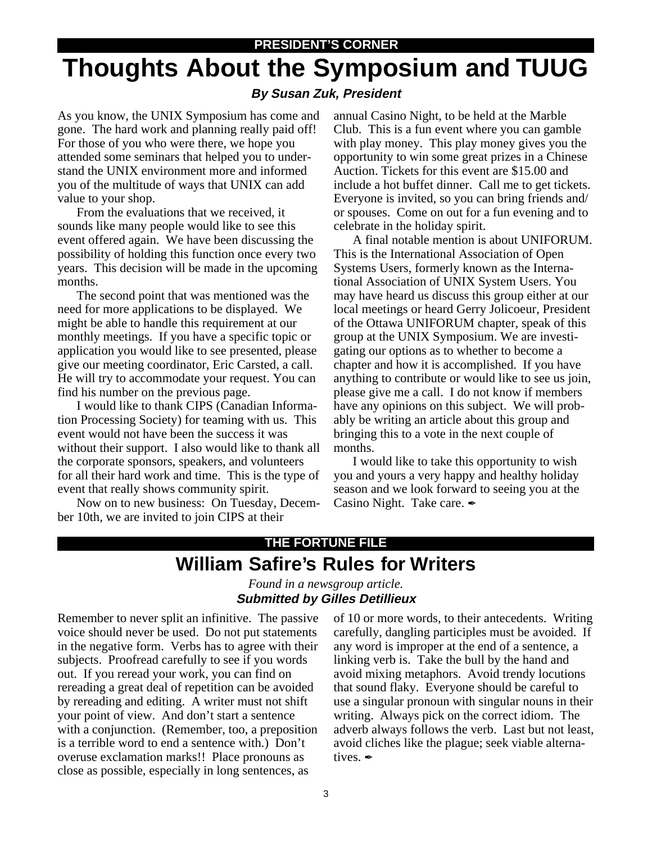#### **PRESIDENT'S CORNER**

# **Thoughts About the Symposium and TUUG**

### **By Susan Zuk, President**

As you know, the UNIX Symposium has come and gone. The hard work and planning really paid off! For those of you who were there, we hope you attended some seminars that helped you to understand the UNIX environment more and informed you of the multitude of ways that UNIX can add value to your shop.

From the evaluations that we received, it sounds like many people would like to see this event offered again. We have been discussing the possibility of holding this function once every two years. This decision will be made in the upcoming months.

The second point that was mentioned was the need for more applications to be displayed. We might be able to handle this requirement at our monthly meetings. If you have a specific topic or application you would like to see presented, please give our meeting coordinator, Eric Carsted, a call. He will try to accommodate your request. You can find his number on the previous page.

I would like to thank CIPS (Canadian Information Processing Society) for teaming with us. This event would not have been the success it was without their support. I also would like to thank all the corporate sponsors, speakers, and volunteers for all their hard work and time. This is the type of event that really shows community spirit.

Now on to new business: On Tuesday, December 10th, we are invited to join CIPS at their

annual Casino Night, to be held at the Marble Club. This is a fun event where you can gamble with play money. This play money gives you the opportunity to win some great prizes in a Chinese Auction. Tickets for this event are \$15.00 and include a hot buffet dinner. Call me to get tickets. Everyone is invited, so you can bring friends and/ or spouses. Come on out for a fun evening and to celebrate in the holiday spirit.

A final notable mention is about UNIFORUM. This is the International Association of Open Systems Users, formerly known as the International Association of UNIX System Users. You may have heard us discuss this group either at our local meetings or heard Gerry Jolicoeur, President of the Ottawa UNIFORUM chapter, speak of this group at the UNIX Symposium. We are investigating our options as to whether to become a chapter and how it is accomplished. If you have anything to contribute or would like to see us join, please give me a call. I do not know if members have any opinions on this subject. We will probably be writing an article about this group and bringing this to a vote in the next couple of months.

I would like to take this opportunity to wish you and yours a very happy and healthy holiday season and we look forward to seeing you at the Casino Night. Take care.

## **William Safire's Rules for Writers THE FORTUNE FILE**

#### *Found in a newsgroup article.* **Submitted by Gilles Detillieux**

Remember to never split an infinitive. The passive voice should never be used. Do not put statements in the negative form. Verbs has to agree with their subjects. Proofread carefully to see if you words out. If you reread your work, you can find on rereading a great deal of repetition can be avoided by rereading and editing. A writer must not shift your point of view. And don't start a sentence with a conjunction. (Remember, too, a preposition is a terrible word to end a sentence with.) Don't overuse exclamation marks!! Place pronouns as close as possible, especially in long sentences, as

of 10 or more words, to their antecedents. Writing carefully, dangling participles must be avoided. If any word is improper at the end of a sentence, a linking verb is. Take the bull by the hand and avoid mixing metaphors. Avoid trendy locutions that sound flaky. Everyone should be careful to use a singular pronoun with singular nouns in their writing. Always pick on the correct idiom. The adverb always follows the verb. Last but not least, avoid cliches like the plague; seek viable alternatives. *A*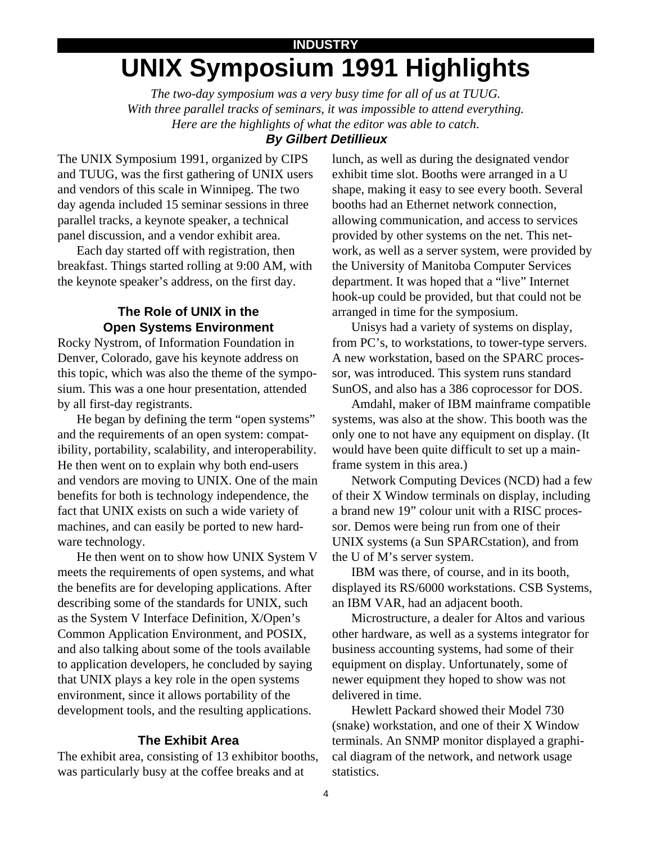## **INDUSTRY UNIX Symposium 1991 Highlights**

*The two-day symposium was a very busy time for all of us at TUUG. With three parallel tracks of seminars, it was impossible to attend everything. Here are the highlights of what the editor was able to catch.*

### **By Gilbert Detillieux**

The UNIX Symposium 1991, organized by CIPS and TUUG, was the first gathering of UNIX users and vendors of this scale in Winnipeg. The two day agenda included 15 seminar sessions in three parallel tracks, a keynote speaker, a technical panel discussion, and a vendor exhibit area.

Each day started off with registration, then breakfast. Things started rolling at 9:00 AM, with the keynote speaker's address, on the first day.

### **The Role of UNIX in the Open Systems Environment**

Rocky Nystrom, of Information Foundation in Denver, Colorado, gave his keynote address on this topic, which was also the theme of the symposium. This was a one hour presentation, attended by all first-day registrants.

He began by defining the term "open systems" and the requirements of an open system: compatibility, portability, scalability, and interoperability. He then went on to explain why both end-users and vendors are moving to UNIX. One of the main benefits for both is technology independence, the fact that UNIX exists on such a wide variety of machines, and can easily be ported to new hardware technology.

He then went on to show how UNIX System V meets the requirements of open systems, and what the benefits are for developing applications. After describing some of the standards for UNIX, such as the System V Interface Definition, X/Open's Common Application Environment, and POSIX, and also talking about some of the tools available to application developers, he concluded by saying that UNIX plays a key role in the open systems environment, since it allows portability of the development tools, and the resulting applications.

#### **The Exhibit Area**

The exhibit area, consisting of 13 exhibitor booths, was particularly busy at the coffee breaks and at

lunch, as well as during the designated vendor exhibit time slot. Booths were arranged in a U shape, making it easy to see every booth. Several booths had an Ethernet network connection, allowing communication, and access to services provided by other systems on the net. This network, as well as a server system, were provided by the University of Manitoba Computer Services department. It was hoped that a "live" Internet hook-up could be provided, but that could not be arranged in time for the symposium.

Unisys had a variety of systems on display, from PC's, to workstations, to tower-type servers. A new workstation, based on the SPARC processor, was introduced. This system runs standard SunOS, and also has a 386 coprocessor for DOS.

Amdahl, maker of IBM mainframe compatible systems, was also at the show. This booth was the only one to not have any equipment on display. (It would have been quite difficult to set up a mainframe system in this area.)

Network Computing Devices (NCD) had a few of their X Window terminals on display, including a brand new 19" colour unit with a RISC processor. Demos were being run from one of their UNIX systems (a Sun SPARCstation), and from the U of M's server system.

IBM was there, of course, and in its booth, displayed its RS/6000 workstations. CSB Systems, an IBM VAR, had an adjacent booth.

Microstructure, a dealer for Altos and various other hardware, as well as a systems integrator for business accounting systems, had some of their equipment on display. Unfortunately, some of newer equipment they hoped to show was not delivered in time.

Hewlett Packard showed their Model 730 (snake) workstation, and one of their X Window terminals. An SNMP monitor displayed a graphical diagram of the network, and network usage statistics.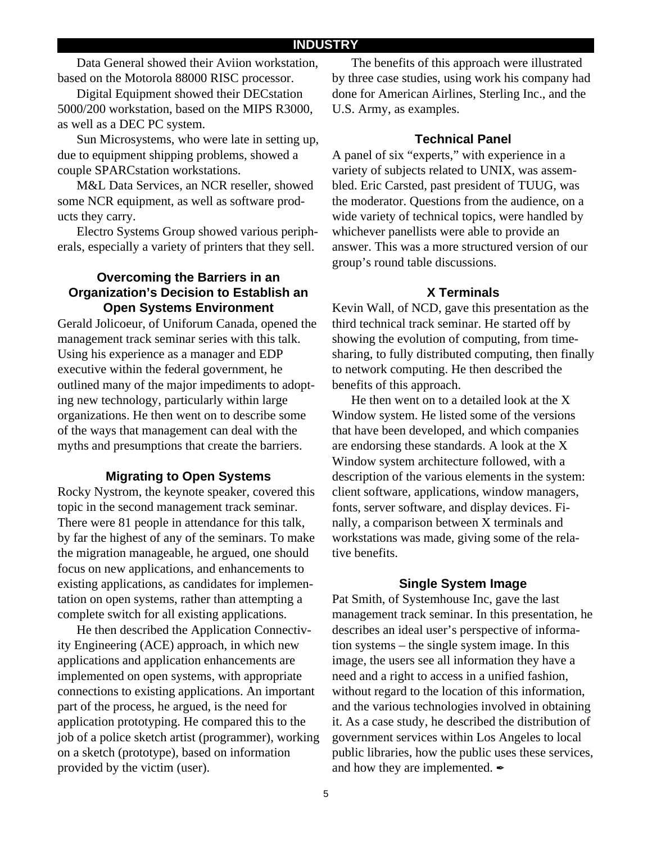Data General showed their Aviion workstation, based on the Motorola 88000 RISC processor.

Digital Equipment showed their DECstation 5000/200 workstation, based on the MIPS R3000, as well as a DEC PC system.

Sun Microsystems, who were late in setting up, due to equipment shipping problems, showed a couple SPARCstation workstations.

M&L Data Services, an NCR reseller, showed some NCR equipment, as well as software products they carry.

Electro Systems Group showed various peripherals, especially a variety of printers that they sell.

### **Overcoming the Barriers in an Organization's Decision to Establish an Open Systems Environment**

Gerald Jolicoeur, of Uniforum Canada, opened the management track seminar series with this talk. Using his experience as a manager and EDP executive within the federal government, he outlined many of the major impediments to adopting new technology, particularly within large organizations. He then went on to describe some of the ways that management can deal with the myths and presumptions that create the barriers.

#### **Migrating to Open Systems**

Rocky Nystrom, the keynote speaker, covered this topic in the second management track seminar. There were 81 people in attendance for this talk, by far the highest of any of the seminars. To make the migration manageable, he argued, one should focus on new applications, and enhancements to existing applications, as candidates for implementation on open systems, rather than attempting a complete switch for all existing applications.

He then described the Application Connectivity Engineering (ACE) approach, in which new applications and application enhancements are implemented on open systems, with appropriate connections to existing applications. An important part of the process, he argued, is the need for application prototyping. He compared this to the job of a police sketch artist (programmer), working on a sketch (prototype), based on information provided by the victim (user).

The benefits of this approach were illustrated by three case studies, using work his company had done for American Airlines, Sterling Inc., and the U.S. Army, as examples.

#### **Technical Panel**

A panel of six "experts," with experience in a variety of subjects related to UNIX, was assembled. Eric Carsted, past president of TUUG, was the moderator. Questions from the audience, on a wide variety of technical topics, were handled by whichever panellists were able to provide an answer. This was a more structured version of our group's round table discussions.

#### **X Terminals**

Kevin Wall, of NCD, gave this presentation as the third technical track seminar. He started off by showing the evolution of computing, from timesharing, to fully distributed computing, then finally to network computing. He then described the benefits of this approach.

He then went on to a detailed look at the X Window system. He listed some of the versions that have been developed, and which companies are endorsing these standards. A look at the X Window system architecture followed, with a description of the various elements in the system: client software, applications, window managers, fonts, server software, and display devices. Finally, a comparison between X terminals and workstations was made, giving some of the relative benefits.

#### **Single System Image**

Pat Smith, of Systemhouse Inc, gave the last management track seminar. In this presentation, he describes an ideal user's perspective of information systems – the single system image. In this image, the users see all information they have a need and a right to access in a unified fashion, without regard to the location of this information, and the various technologies involved in obtaining it. As a case study, he described the distribution of government services within Los Angeles to local public libraries, how the public uses these services, and how they are implemented.  $\blacktriangleright$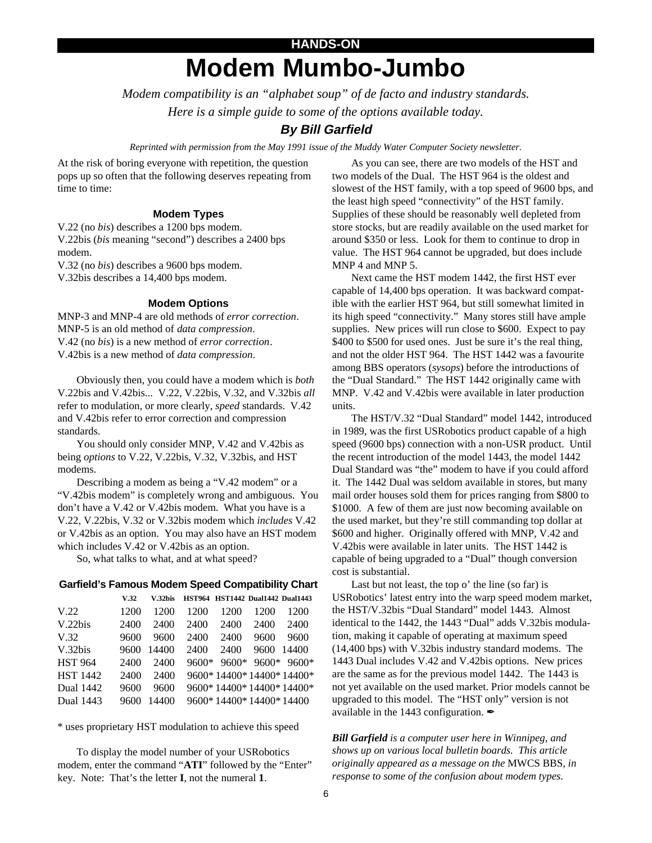## **HANDS-ON Modem Mumbo-Jumbo**

*Modem compatibility is an "alphabet soup" of de facto and industry standards. Here is a simple guide to some of the options available today.*

#### **By Bill Garfield**

*Reprinted with permission from the May 1991 issue of the Muddy Water Computer Society newsletter.*

At the risk of boring everyone with repetition, the question pops up so often that the following deserves repeating from time to time:

#### **Modem Types**

V.22 (no *bis*) describes a 1200 bps modem. V.22bis (*bis* meaning "second") describes a 2400 bps modem.

V.32 (no *bis*) describes a 9600 bps modem.

V.32bis describes a 14,400 bps modem.

#### **Modem Options**

MNP-3 and MNP-4 are old methods of *error correction*. MNP-5 is an old method of *data compression*. V.42 (no *bis*) is a new method of *error correction*. V.42bis is a new method of *data compression*.

Obviously then, you could have a modem which is *both* V.22bis and V.42bis... V.22, V.22bis, V.32, and V.32bis *all* refer to modulation, or more clearly, *speed* standards. V.42 and V.42bis refer to error correction and compression standards.

You should only consider MNP, V.42 and V.42bis as being *options* to V.22, V.22bis, V.32, V.32bis, and HST modems.

Describing a modem as being a "V.42 modem" or a "V.42bis modem" is completely wrong and ambiguous. You don't have a V.42 or V.42bis modem. What you have is a V.22, V.22bis, V.32 or V.32bis modem which *includes* V.42 or V.42bis as an option. You may also have an HST modem which includes V.42 or V.42bis as an option.

So, what talks to what, and at what speed?

#### **Garfield's Famous Modem Speed Compatibility Chart**

|                  | V.32 | V.32bis |      | <b>HST964 HST1442 Dual1442 Dual1443</b> |      |       |
|------------------|------|---------|------|-----------------------------------------|------|-------|
| V.22             | 1200 | 1200    | 1200 | 1200                                    | 1200 | 1200  |
| V.22bis          | 2400 | 2400    | 2400 | 2400                                    | 2400 | 2400  |
| V.32             | 9600 | 9600    | 2400 | 2400                                    | 9600 | 9600  |
| V.32bis          | 9600 | 14400   | 2400 | 2400                                    | 9600 | 14400 |
| <b>HST 964</b>   | 2400 | 2400    |      | $9600* 9600* 9600* 9600*$               |      |       |
| <b>HST 1442</b>  | 2400 | 2400    |      | 9600*14400*14400*14400*                 |      |       |
| <b>Dual 1442</b> | 9600 | 9600    |      | 9600* 14400* 14400* 14400*              |      |       |
| <b>Dual 1443</b> | 9600 | 14400   |      | 9600*14400*14400*14400                  |      |       |
|                  |      |         |      |                                         |      |       |

\* uses proprietary HST modulation to achieve this speed

To display the model number of your USRobotics modem, enter the command "**ATI**" followed by the "Enter" key. Note: That's the letter **I**, not the numeral **1**.

As you can see, there are two models of the HST and two models of the Dual. The HST 964 is the oldest and slowest of the HST family, with a top speed of 9600 bps, and the least high speed "connectivity" of the HST family. Supplies of these should be reasonably well depleted from store stocks, but are readily available on the used market for around \$350 or less. Look for them to continue to drop in value. The HST 964 cannot be upgraded, but does include MNP 4 and MNP 5.

Next came the HST modem 1442, the first HST ever capable of 14,400 bps operation. It was backward compatible with the earlier HST 964, but still somewhat limited in its high speed "connectivity." Many stores still have ample supplies. New prices will run close to \$600. Expect to pay \$400 to \$500 for used ones. Just be sure it's the real thing, and not the older HST 964. The HST 1442 was a favourite among BBS operators (*sysops*) before the introductions of the "Dual Standard." The HST 1442 originally came with MNP. V.42 and V.42bis were available in later production units.

The HST/V.32 "Dual Standard" model 1442, introduced in 1989, was the first USRobotics product capable of a high speed (9600 bps) connection with a non-USR product. Until the recent introduction of the model 1443, the model 1442 Dual Standard was "the" modem to have if you could afford it. The 1442 Dual was seldom available in stores, but many mail order houses sold them for prices ranging from \$800 to \$1000. A few of them are just now becoming available on the used market, but they're still commanding top dollar at \$600 and higher. Originally offered with MNP, V.42 and V.42bis were available in later units. The HST 1442 is capable of being upgraded to a "Dual" though conversion cost is substantial.

Last but not least, the top o' the line (so far) is USRobotics' latest entry into the warp speed modem market, the HST/V.32bis "Dual Standard" model 1443. Almost identical to the 1442, the 1443 "Dual" adds V.32bis modulation, making it capable of operating at maximum speed (14,400 bps) with V.32bis industry standard modems. The 1443 Dual includes V.42 and V.42bis options. New prices are the same as for the previous model 1442. The 1443 is not yet available on the used market. Prior models cannot be upgraded to this model. The "HST only" version is not available in the 1443 configuration.  $\mathcal I$ 

*Bill Garfield is a computer user here in Winnipeg, and shows up on various local bulletin boards. This article originally appeared as a message on the* MWCS BBS*, in response to some of the confusion about modem types.*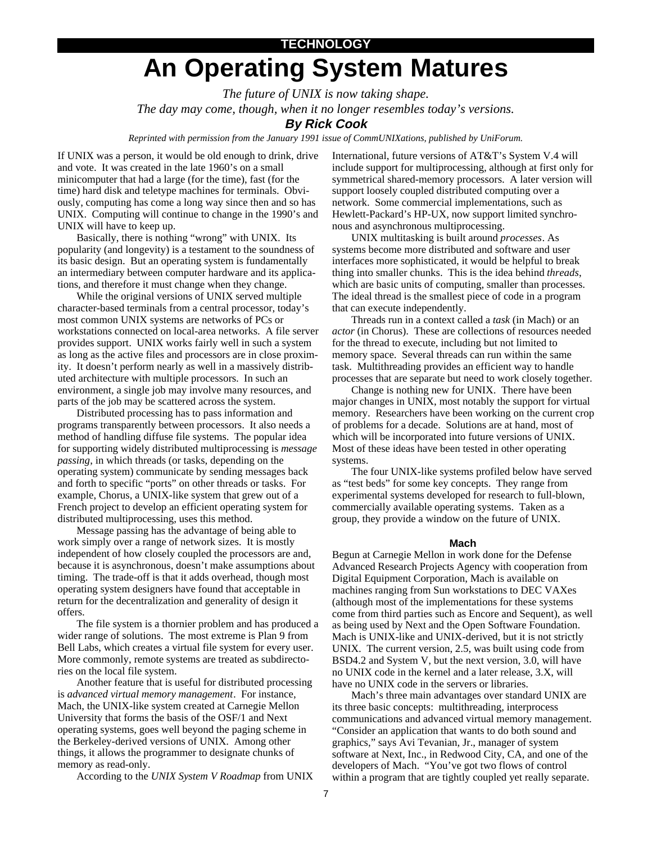## **TECHNOLOGY An Operating System Matures**

*The future of UNIX is now taking shape.*

*The day may come, though, when it no longer resembles today's versions.*

#### **By Rick Cook**

*Reprinted with permission from the January 1991 issue of CommUNIXations, published by UniForum.*

If UNIX was a person, it would be old enough to drink, drive and vote. It was created in the late 1960's on a small minicomputer that had a large (for the time), fast (for the time) hard disk and teletype machines for terminals. Obviously, computing has come a long way since then and so has UNIX. Computing will continue to change in the 1990's and UNIX will have to keep up.

Basically, there is nothing "wrong" with UNIX. Its popularity (and longevity) is a testament to the soundness of its basic design. But an operating system is fundamentally an intermediary between computer hardware and its applications, and therefore it must change when they change.

While the original versions of UNIX served multiple character-based terminals from a central processor, today's most common UNIX systems are networks of PCs or workstations connected on local-area networks. A file server provides support. UNIX works fairly well in such a system as long as the active files and processors are in close proximity. It doesn't perform nearly as well in a massively distributed architecture with multiple processors. In such an environment, a single job may involve many resources, and parts of the job may be scattered across the system.

Distributed processing has to pass information and programs transparently between processors. It also needs a method of handling diffuse file systems. The popular idea for supporting widely distributed multiprocessing is *message passing*, in which threads (or tasks, depending on the operating system) communicate by sending messages back and forth to specific "ports" on other threads or tasks. For example, Chorus, a UNIX-like system that grew out of a French project to develop an efficient operating system for distributed multiprocessing, uses this method.

Message passing has the advantage of being able to work simply over a range of network sizes. It is mostly independent of how closely coupled the processors are and, because it is asynchronous, doesn't make assumptions about timing. The trade-off is that it adds overhead, though most operating system designers have found that acceptable in return for the decentralization and generality of design it offers.

The file system is a thornier problem and has produced a wider range of solutions. The most extreme is Plan 9 from Bell Labs, which creates a virtual file system for every user. More commonly, remote systems are treated as subdirectories on the local file system.

Another feature that is useful for distributed processing is *advanced virtual memory management*. For instance, Mach, the UNIX-like system created at Carnegie Mellon University that forms the basis of the OSF/1 and Next operating systems, goes well beyond the paging scheme in the Berkeley-derived versions of UNIX. Among other things, it allows the programmer to designate chunks of memory as read-only.

According to the *UNIX System V Roadmap* from UNIX

International, future versions of AT&T's System V.4 will include support for multiprocessing, although at first only for symmetrical shared-memory processors. A later version will support loosely coupled distributed computing over a network. Some commercial implementations, such as Hewlett-Packard's HP-UX, now support limited synchronous and asynchronous multiprocessing.

UNIX multitasking is built around *processes*. As systems become more distributed and software and user interfaces more sophisticated, it would be helpful to break thing into smaller chunks. This is the idea behind *threads*, which are basic units of computing, smaller than processes. The ideal thread is the smallest piece of code in a program that can execute independently.

Threads run in a context called a *task* (in Mach) or an *actor* (in Chorus). These are collections of resources needed for the thread to execute, including but not limited to memory space. Several threads can run within the same task. Multithreading provides an efficient way to handle processes that are separate but need to work closely together.

Change is nothing new for UNIX. There have been major changes in UNIX, most notably the support for virtual memory. Researchers have been working on the current crop of problems for a decade. Solutions are at hand, most of which will be incorporated into future versions of UNIX. Most of these ideas have been tested in other operating systems.

The four UNIX-like systems profiled below have served as "test beds" for some key concepts. They range from experimental systems developed for research to full-blown, commercially available operating systems. Taken as a group, they provide a window on the future of UNIX.

#### **Mach**

Begun at Carnegie Mellon in work done for the Defense Advanced Research Projects Agency with cooperation from Digital Equipment Corporation, Mach is available on machines ranging from Sun workstations to DEC VAXes (although most of the implementations for these systems come from third parties such as Encore and Sequent), as well as being used by Next and the Open Software Foundation. Mach is UNIX-like and UNIX-derived, but it is not strictly UNIX. The current version, 2.5, was built using code from BSD4.2 and System V, but the next version, 3.0, will have no UNIX code in the kernel and a later release, 3.X, will have no UNIX code in the servers or libraries.

Mach's three main advantages over standard UNIX are its three basic concepts: multithreading, interprocess communications and advanced virtual memory management. "Consider an application that wants to do both sound and graphics," says Avi Tevanian, Jr., manager of system software at Next, Inc., in Redwood City, CA, and one of the developers of Mach. "You've got two flows of control within a program that are tightly coupled yet really separate.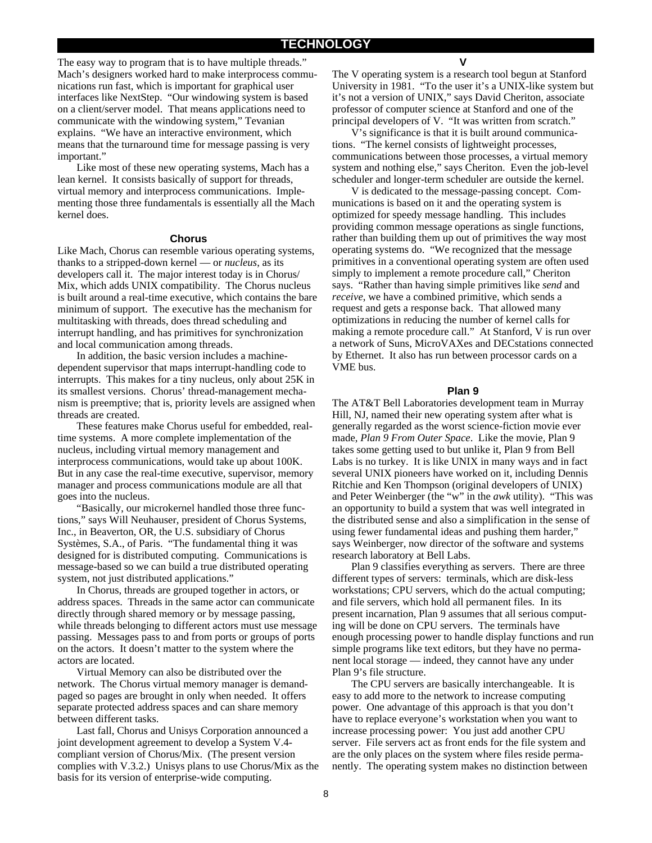The easy way to program that is to have multiple threads." Mach's designers worked hard to make interprocess communications run fast, which is important for graphical user interfaces like NextStep. "Our windowing system is based on a client/server model. That means applications need to communicate with the windowing system," Tevanian explains. "We have an interactive environment, which means that the turnaround time for message passing is very important."

Like most of these new operating systems, Mach has a lean kernel. It consists basically of support for threads, virtual memory and interprocess communications. Implementing those three fundamentals is essentially all the Mach kernel does.

#### **Chorus**

Like Mach, Chorus can resemble various operating systems, thanks to a stripped-down kernel — or *nucleus*, as its developers call it. The major interest today is in Chorus/ Mix, which adds UNIX compatibility. The Chorus nucleus is built around a real-time executive, which contains the bare minimum of support. The executive has the mechanism for multitasking with threads, does thread scheduling and interrupt handling, and has primitives for synchronization and local communication among threads.

In addition, the basic version includes a machinedependent supervisor that maps interrupt-handling code to interrupts. This makes for a tiny nucleus, only about 25K in its smallest versions. Chorus' thread-management mechanism is preemptive; that is, priority levels are assigned when threads are created.

These features make Chorus useful for embedded, realtime systems. A more complete implementation of the nucleus, including virtual memory management and interprocess communications, would take up about 100K. But in any case the real-time executive, supervisor, memory manager and process communications module are all that goes into the nucleus.

"Basically, our microkernel handled those three functions," says Will Neuhauser, president of Chorus Systems, Inc., in Beaverton, OR, the U.S. subsidiary of Chorus Systèmes, S.A., of Paris. "The fundamental thing it was designed for is distributed computing. Communications is message-based so we can build a true distributed operating system, not just distributed applications."

In Chorus, threads are grouped together in actors, or address spaces. Threads in the same actor can communicate directly through shared memory or by message passing, while threads belonging to different actors must use message passing. Messages pass to and from ports or groups of ports on the actors. It doesn't matter to the system where the actors are located.

Virtual Memory can also be distributed over the network. The Chorus virtual memory manager is demandpaged so pages are brought in only when needed. It offers separate protected address spaces and can share memory between different tasks.

Last fall, Chorus and Unisys Corporation announced a joint development agreement to develop a System V.4 compliant version of Chorus/Mix. (The present version complies with V.3.2.) Unisys plans to use Chorus/Mix as the basis for its version of enterprise-wide computing.

**V**

The V operating system is a research tool begun at Stanford University in 1981. "To the user it's a UNIX-like system but it's not a version of UNIX," says David Cheriton, associate professor of computer science at Stanford and one of the principal developers of V. "It was written from scratch."

V's significance is that it is built around communications. "The kernel consists of lightweight processes, communications between those processes, a virtual memory system and nothing else," says Cheriton. Even the job-level scheduler and longer-term scheduler are outside the kernel.

V is dedicated to the message-passing concept. Communications is based on it and the operating system is optimized for speedy message handling. This includes providing common message operations as single functions, rather than building them up out of primitives the way most operating systems do. "We recognized that the message primitives in a conventional operating system are often used simply to implement a remote procedure call," Cheriton says. "Rather than having simple primitives like *send* and *receive*, we have a combined primitive, which sends a request and gets a response back. That allowed many optimizations in reducing the number of kernel calls for making a remote procedure call." At Stanford, V is run over a network of Suns, MicroVAXes and DECstations connected by Ethernet. It also has run between processor cards on a VME bus.

#### **Plan 9**

The AT&T Bell Laboratories development team in Murray Hill, NJ, named their new operating system after what is generally regarded as the worst science-fiction movie ever made, *Plan 9 From Outer Space*. Like the movie, Plan 9 takes some getting used to but unlike it, Plan 9 from Bell Labs is no turkey. It is like UNIX in many ways and in fact several UNIX pioneers have worked on it, including Dennis Ritchie and Ken Thompson (original developers of UNIX) and Peter Weinberger (the "w" in the *awk* utility). "This was an opportunity to build a system that was well integrated in the distributed sense and also a simplification in the sense of using fewer fundamental ideas and pushing them harder," says Weinberger, now director of the software and systems research laboratory at Bell Labs.

Plan 9 classifies everything as servers. There are three different types of servers: terminals, which are disk-less workstations; CPU servers, which do the actual computing; and file servers, which hold all permanent files. In its present incarnation, Plan 9 assumes that all serious computing will be done on CPU servers. The terminals have enough processing power to handle display functions and run simple programs like text editors, but they have no permanent local storage — indeed, they cannot have any under Plan 9's file structure.

The CPU servers are basically interchangeable. It is easy to add more to the network to increase computing power. One advantage of this approach is that you don't have to replace everyone's workstation when you want to increase processing power: You just add another CPU server. File servers act as front ends for the file system and are the only places on the system where files reside permanently. The operating system makes no distinction between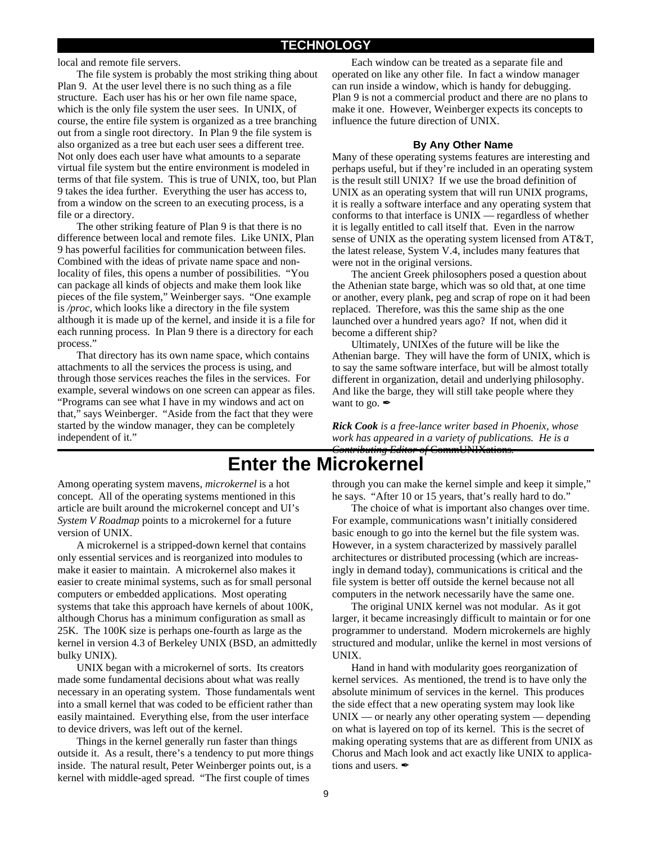local and remote file servers.

The file system is probably the most striking thing about Plan 9. At the user level there is no such thing as a file structure. Each user has his or her own file name space, which is the only file system the user sees. In UNIX, of course, the entire file system is organized as a tree branching out from a single root directory. In Plan 9 the file system is also organized as a tree but each user sees a different tree. Not only does each user have what amounts to a separate virtual file system but the entire environment is modeled in terms of that file system. This is true of UNIX, too, but Plan 9 takes the idea further. Everything the user has access to, from a window on the screen to an executing process, is a file or a directory.

The other striking feature of Plan 9 is that there is no difference between local and remote files. Like UNIX, Plan 9 has powerful facilities for communication between files. Combined with the ideas of private name space and nonlocality of files, this opens a number of possibilities. "You can package all kinds of objects and make them look like pieces of the file system," Weinberger says. "One example is */proc*, which looks like a directory in the file system although it is made up of the kernel, and inside it is a file for each running process. In Plan 9 there is a directory for each process."

That directory has its own name space, which contains attachments to all the services the process is using, and through those services reaches the files in the services. For example, several windows on one screen can appear as files. "Programs can see what I have in my windows and act on that," says Weinberger. "Aside from the fact that they were started by the window manager, they can be completely independent of it."

Each window can be treated as a separate file and operated on like any other file. In fact a window manager can run inside a window, which is handy for debugging. Plan 9 is not a commercial product and there are no plans to make it one. However, Weinberger expects its concepts to influence the future direction of UNIX.

#### **By Any Other Name**

Many of these operating systems features are interesting and perhaps useful, but if they're included in an operating system is the result still UNIX? If we use the broad definition of UNIX as an operating system that will run UNIX programs, it is really a software interface and any operating system that conforms to that interface is UNIX — regardless of whether it is legally entitled to call itself that. Even in the narrow sense of UNIX as the operating system licensed from AT&T, the latest release, System V.4, includes many features that were not in the original versions.

The ancient Greek philosophers posed a question about the Athenian state barge, which was so old that, at one time or another, every plank, peg and scrap of rope on it had been replaced. Therefore, was this the same ship as the one launched over a hundred years ago? If not, when did it become a different ship?

Ultimately, UNIXes of the future will be like the Athenian barge. They will have the form of UNIX, which is to say the same software interface, but will be almost totally different in organization, detail and underlying philosophy. And like the barge, they will still take people where they want to go.  $\mathscr{I}$ 

*Rick Cook is a free-lance writer based in Phoenix, whose work has appeared in a variety of publications. He is a Contributing Editor of* CommUNIXations*.*

## **Enter the Microkernel**

Among operating system mavens, *microkernel* is a hot concept. All of the operating systems mentioned in this article are built around the microkernel concept and UI's *System V Roadmap* points to a microkernel for a future version of UNIX.

A microkernel is a stripped-down kernel that contains only essential services and is reorganized into modules to make it easier to maintain. A microkernel also makes it easier to create minimal systems, such as for small personal computers or embedded applications. Most operating systems that take this approach have kernels of about 100K, although Chorus has a minimum configuration as small as 25K. The 100K size is perhaps one-fourth as large as the kernel in version 4.3 of Berkeley UNIX (BSD, an admittedly bulky UNIX).

UNIX began with a microkernel of sorts. Its creators made some fundamental decisions about what was really necessary in an operating system. Those fundamentals went into a small kernel that was coded to be efficient rather than easily maintained. Everything else, from the user interface to device drivers, was left out of the kernel.

Things in the kernel generally run faster than things outside it. As a result, there's a tendency to put more things inside. The natural result, Peter Weinberger points out, is a kernel with middle-aged spread. "The first couple of times

through you can make the kernel simple and keep it simple," he says. "After 10 or 15 years, that's really hard to do."

The choice of what is important also changes over time. For example, communications wasn't initially considered basic enough to go into the kernel but the file system was. However, in a system characterized by massively parallel architectures or distributed processing (which are increasingly in demand today), communications is critical and the file system is better off outside the kernel because not all computers in the network necessarily have the same one.

The original UNIX kernel was not modular. As it got larger, it became increasingly difficult to maintain or for one programmer to understand. Modern microkernels are highly structured and modular, unlike the kernel in most versions of UNIX.

Hand in hand with modularity goes reorganization of kernel services. As mentioned, the trend is to have only the absolute minimum of services in the kernel. This produces the side effect that a new operating system may look like  $UNIX$  — or nearly any other operating system — depending on what is layered on top of its kernel. This is the secret of making operating systems that are as different from UNIX as Chorus and Mach look and act exactly like UNIX to applications and users.  $\rlap{/}$